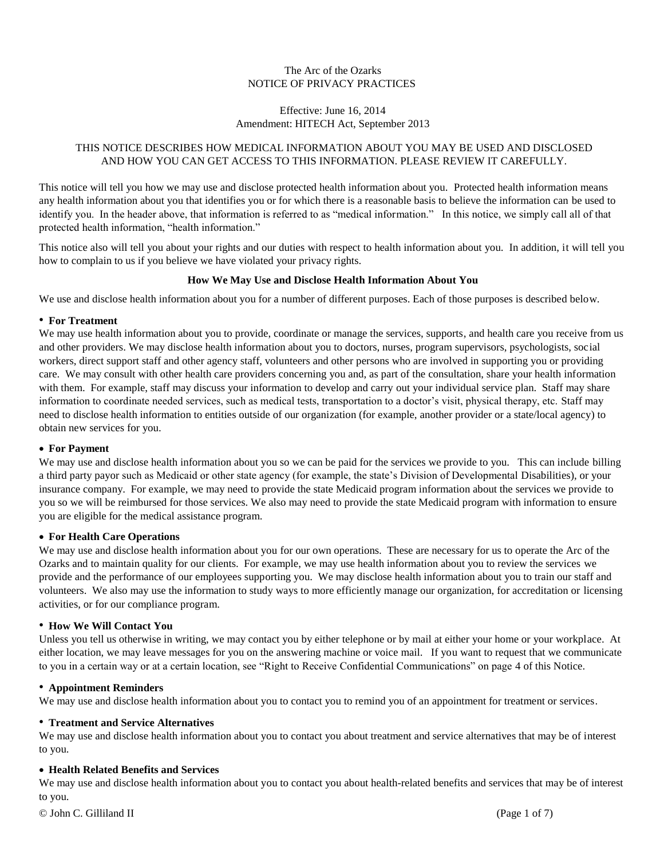# The Arc of the Ozarks NOTICE OF PRIVACY PRACTICES

## Effective: June 16, 2014 Amendment: HITECH Act, September 2013

# THIS NOTICE DESCRIBES HOW MEDICAL INFORMATION ABOUT YOU MAY BE USED AND DISCLOSED AND HOW YOU CAN GET ACCESS TO THIS INFORMATION. PLEASE REVIEW IT CAREFULLY.

This notice will tell you how we may use and disclose protected health information about you. Protected health information means any health information about you that identifies you or for which there is a reasonable basis to believe the information can be used to identify you. In the header above, that information is referred to as "medical information." In this notice, we simply call all of that protected health information, "health information."

This notice also will tell you about your rights and our duties with respect to health information about you. In addition, it will tell you how to complain to us if you believe we have violated your privacy rights.

# **How We May Use and Disclose Health Information About You**

We use and disclose health information about you for a number of different purposes. Each of those purposes is described below.

### • **For Treatment**

We may use health information about you to provide, coordinate or manage the services, supports, and health care you receive from us and other providers. We may disclose health information about you to doctors, nurses, program supervisors, psychologists, social workers, direct support staff and other agency staff, volunteers and other persons who are involved in supporting you or providing care. We may consult with other health care providers concerning you and, as part of the consultation, share your health information with them. For example, staff may discuss your information to develop and carry out your individual service plan. Staff may share information to coordinate needed services, such as medical tests, transportation to a doctor's visit, physical therapy, etc. Staff may need to disclose health information to entities outside of our organization (for example, another provider or a state/local agency) to obtain new services for you.

#### • **For Payment**

We may use and disclose health information about you so we can be paid for the services we provide to you. This can include billing a third party payor such as Medicaid or other state agency (for example, the state's Division of Developmental Disabilities), or your insurance company. For example, we may need to provide the state Medicaid program information about the services we provide to you so we will be reimbursed for those services. We also may need to provide the state Medicaid program with information to ensure you are eligible for the medical assistance program.

## • **For Health Care Operations**

We may use and disclose health information about you for our own operations. These are necessary for us to operate the Arc of the Ozarks and to maintain quality for our clients. For example, we may use health information about you to review the services we provide and the performance of our employees supporting you. We may disclose health information about you to train our staff and volunteers. We also may use the information to study ways to more efficiently manage our organization, for accreditation or licensing activities, or for our compliance program.

#### • **How We Will Contact You**

Unless you tell us otherwise in writing, we may contact you by either telephone or by mail at either your home or your workplace. At either location, we may leave messages for you on the answering machine or voice mail. If you want to request that we communicate to you in a certain way or at a certain location, see "Right to Receive Confidential Communications" on page 4 of this Notice.

#### • **Appointment Reminders**

We may use and disclose health information about you to contact you to remind you of an appointment for treatment or services.

### • **Treatment and Service Alternatives**

We may use and disclose health information about you to contact you about treatment and service alternatives that may be of interest to you.

## • **Health Related Benefits and Services**

We may use and disclose health information about you to contact you about health-related benefits and services that may be of interest to you.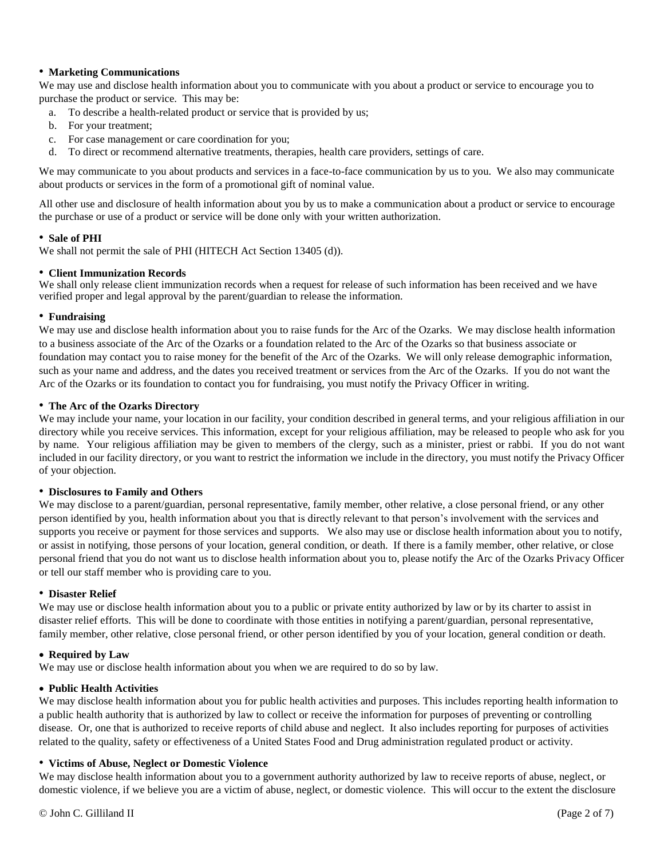### • **Marketing Communications**

We may use and disclose health information about you to communicate with you about a product or service to encourage you to purchase the product or service. This may be:

- a. To describe a health-related product or service that is provided by us;
- b. For your treatment;
- c. For case management or care coordination for you;
- d. To direct or recommend alternative treatments, therapies, health care providers, settings of care.

We may communicate to you about products and services in a face-to-face communication by us to you. We also may communicate about products or services in the form of a promotional gift of nominal value.

All other use and disclosure of health information about you by us to make a communication about a product or service to encourage the purchase or use of a product or service will be done only with your written authorization.

### • **Sale of PHI**

We shall not permit the sale of PHI (HITECH Act Section 13405 (d)).

#### • **Client Immunization Records**

We shall only release client immunization records when a request for release of such information has been received and we have verified proper and legal approval by the parent/guardian to release the information.

#### • **Fundraising**

We may use and disclose health information about you to raise funds for the Arc of the Ozarks. We may disclose health information to a business associate of the Arc of the Ozarks or a foundation related to the Arc of the Ozarks so that business associate or foundation may contact you to raise money for the benefit of the Arc of the Ozarks. We will only release demographic information, such as your name and address, and the dates you received treatment or services from the Arc of the Ozarks. If you do not want the Arc of the Ozarks or its foundation to contact you for fundraising, you must notify the Privacy Officer in writing.

### • **The Arc of the Ozarks Directory**

We may include your name, your location in our facility, your condition described in general terms, and your religious affiliation in our directory while you receive services. This information, except for your religious affiliation, may be released to people who ask for you by name. Your religious affiliation may be given to members of the clergy, such as a minister, priest or rabbi. If you do not want included in our facility directory, or you want to restrict the information we include in the directory, you must notify the Privacy Officer of your objection.

## • **Disclosures to Family and Others**

We may disclose to a parent/guardian, personal representative, family member, other relative, a close personal friend, or any other person identified by you, health information about you that is directly relevant to that person's involvement with the services and supports you receive or payment for those services and supports. We also may use or disclose health information about you to notify, or assist in notifying, those persons of your location, general condition, or death. If there is a family member, other relative, or close personal friend that you do not want us to disclose health information about you to, please notify the Arc of the Ozarks Privacy Officer or tell our staff member who is providing care to you.

#### • **Disaster Relief**

We may use or disclose health information about you to a public or private entity authorized by law or by its charter to assist in disaster relief efforts. This will be done to coordinate with those entities in notifying a parent/guardian, personal representative, family member, other relative, close personal friend, or other person identified by you of your location, general condition or death.

## • **Required by Law**

We may use or disclose health information about you when we are required to do so by law.

## • **Public Health Activities**

We may disclose health information about you for public health activities and purposes. This includes reporting health information to a public health authority that is authorized by law to collect or receive the information for purposes of preventing or controlling disease. Or, one that is authorized to receive reports of child abuse and neglect. It also includes reporting for purposes of activities related to the quality, safety or effectiveness of a United States Food and Drug administration regulated product or activity.

#### • **Victims of Abuse, Neglect or Domestic Violence**

We may disclose health information about you to a government authority authorized by law to receive reports of abuse, neglect, or domestic violence, if we believe you are a victim of abuse, neglect, or domestic violence. This will occur to the extent the disclosure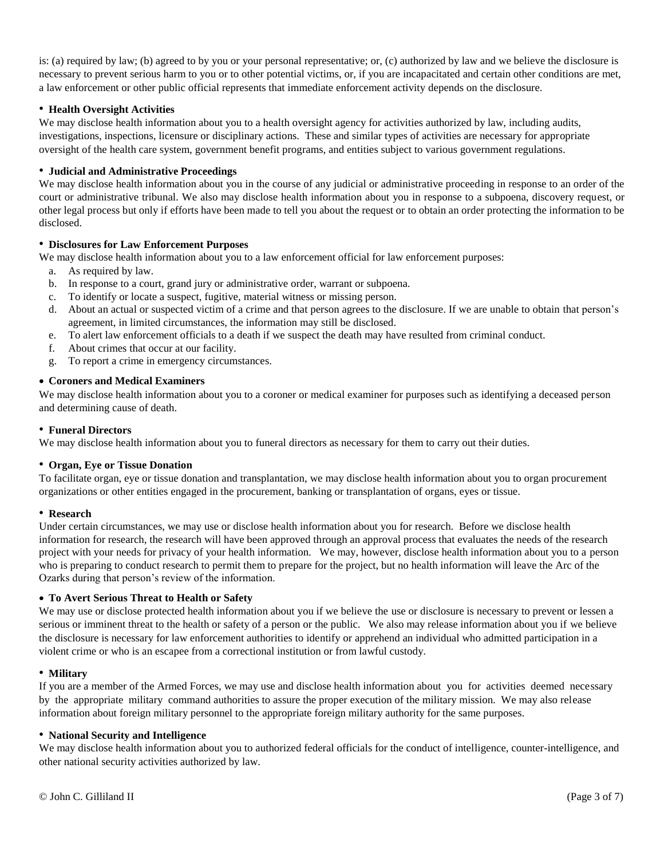is: (a) required by law; (b) agreed to by you or your personal representative; or, (c) authorized by law and we believe the disclosure is necessary to prevent serious harm to you or to other potential victims, or, if you are incapacitated and certain other conditions are met, a law enforcement or other public official represents that immediate enforcement activity depends on the disclosure.

## • **Health Oversight Activities**

We may disclose health information about you to a health oversight agency for activities authorized by law, including audits, investigations, inspections, licensure or disciplinary actions. These and similar types of activities are necessary for appropriate oversight of the health care system, government benefit programs, and entities subject to various government regulations.

## • **Judicial and Administrative Proceedings**

We may disclose health information about you in the course of any judicial or administrative proceeding in response to an order of the court or administrative tribunal. We also may disclose health information about you in response to a subpoena, discovery request, or other legal process but only if efforts have been made to tell you about the request or to obtain an order protecting the information to be disclosed.

## • **Disclosures for Law Enforcement Purposes**

We may disclose health information about you to a law enforcement official for law enforcement purposes:

- a. As required by law.
- b. In response to a court, grand jury or administrative order, warrant or subpoena.
- c. To identify or locate a suspect, fugitive, material witness or missing person.
- d. About an actual or suspected victim of a crime and that person agrees to the disclosure. If we are unable to obtain that person's agreement, in limited circumstances, the information may still be disclosed.
- e. To alert law enforcement officials to a death if we suspect the death may have resulted from criminal conduct.
- f. About crimes that occur at our facility.
- g. To report a crime in emergency circumstances.

## • **Coroners and Medical Examiners**

We may disclose health information about you to a coroner or medical examiner for purposes such as identifying a deceased person and determining cause of death.

## • **Funeral Directors**

We may disclose health information about you to funeral directors as necessary for them to carry out their duties.

## • **Organ, Eye or Tissue Donation**

To facilitate organ, eye or tissue donation and transplantation, we may disclose health information about you to organ procurement organizations or other entities engaged in the procurement, banking or transplantation of organs, eyes or tissue.

#### • **Research**

Under certain circumstances, we may use or disclose health information about you for research. Before we disclose health information for research, the research will have been approved through an approval process that evaluates the needs of the research project with your needs for privacy of your health information. We may, however, disclose health information about you to a person who is preparing to conduct research to permit them to prepare for the project, but no health information will leave the Arc of the Ozarks during that person's review of the information.

## • **To Avert Serious Threat to Health or Safety**

We may use or disclose protected health information about you if we believe the use or disclosure is necessary to prevent or lessen a serious or imminent threat to the health or safety of a person or the public. We also may release information about you if we believe the disclosure is necessary for law enforcement authorities to identify or apprehend an individual who admitted participation in a violent crime or who is an escapee from a correctional institution or from lawful custody.

## • **Military**

If you are a member of the Armed Forces, we may use and disclose health information about you for activities deemed necessary by the appropriate military command authorities to assure the proper execution of the military mission. We may also release information about foreign military personnel to the appropriate foreign military authority for the same purposes.

## • **National Security and Intelligence**

We may disclose health information about you to authorized federal officials for the conduct of intelligence, counter-intelligence, and other national security activities authorized by law.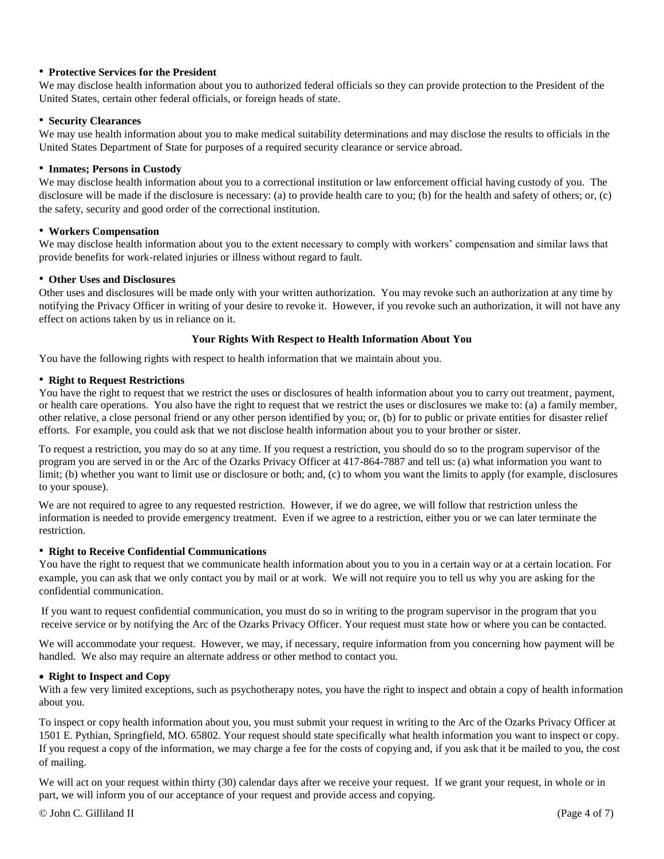## • **Protective Services for the President**

We may disclose health information about you to authorized federal officials so they can provide protection to the President of the United States, certain other federal officials, or foreign heads of state.

## • **Security Clearances**

We may use health information about you to make medical suitability determinations and may disclose the results to officials in the United States Department of State for purposes of a required security clearance or service abroad.

### • **Inmates; Persons in Custody**

We may disclose health information about you to a correctional institution or law enforcement official having custody of you. The disclosure will be made if the disclosure is necessary: (a) to provide health care to you; (b) for the health and safety of others; or, (c) the safety, security and good order of the correctional institution.

### • **Workers Compensation**

We may disclose health information about you to the extent necessary to comply with workers' compensation and similar laws that provide benefits for work-related injuries or illness without regard to fault.

### • **Other Uses and Disclosures**

Other uses and disclosures will be made only with your written authorization. You may revoke such an authorization at any time by notifying the Privacy Officer in writing of your desire to revoke it. However, if you revoke such an authorization, it will not have any effect on actions taken by us in reliance on it.

### **Your Rights With Respect to Health Information About You**

You have the following rights with respect to health information that we maintain about you.

### • **Right to Request Restrictions**

You have the right to request that we restrict the uses or disclosures of health information about you to carry out treatment, payment, or health care operations. You also have the right to request that we restrict the uses or disclosures we make to: (a) a family member, other relative, a close personal friend or any other person identified by you; or, (b) for to public or private entities for disaster relief efforts. For example, you could ask that we not disclose health information about you to your brother or sister.

To request a restriction, you may do so at any time. If you request a restriction, you should do so to the program supervisor of the program you are served in or the Arc of the Ozarks Privacy Officer at 417-864-7887 and tell us: (a) what information you want to limit; (b) whether you want to limit use or disclosure or both; and, (c) to whom you want the limits to apply (for example, disclosures to your spouse).

We are not required to agree to any requested restriction. However, if we do agree, we will follow that restriction unless the information is needed to provide emergency treatment. Even if we agree to a restriction, either you or we can later terminate the restriction.

## • **Right to Receive Confidential Communications**

You have the right to request that we communicate health information about you to you in a certain way or at a certain location. For example, you can ask that we only contact you by mail or at work. We will not require you to tell us why you are asking for the confidential communication.

If you want to request confidential communication, you must do so in writing to the program supervisor in the program that you receive service or by notifying the Arc of the Ozarks Privacy Officer. Your request must state how or where you can be contacted.

We will accommodate your request. However, we may, if necessary, require information from you concerning how payment will be handled. We also may require an alternate address or other method to contact you.

#### • **Right to Inspect and Copy**

With a few very limited exceptions, such as psychotherapy notes, you have the right to inspect and obtain a copy of health information about you.

To inspect or copy health information about you, you must submit your request in writing to the Arc of the Ozarks Privacy Officer at 1501 E. Pythian, Springfield, MO. 65802. Your request should state specifically what health information you want to inspect or copy. If you request a copy of the information, we may charge a fee for the costs of copying and, if you ask that it be mailed to you, the cost of mailing.

We will act on your request within thirty (30) calendar days after we receive your request. If we grant your request, in whole or in part, we will inform you of our acceptance of your request and provide access and copying.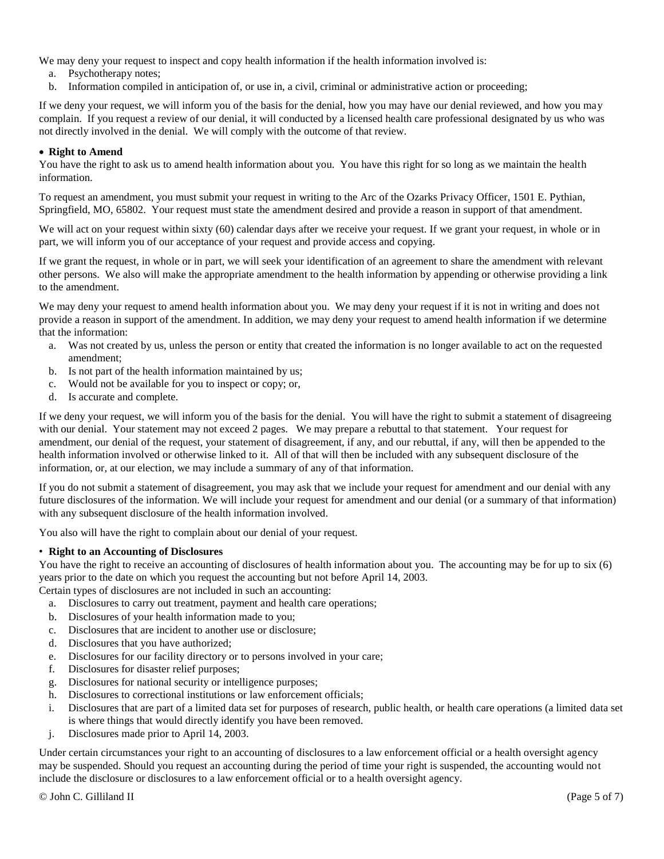We may deny your request to inspect and copy health information if the health information involved is:

- a. Psychotherapy notes;
- b. Information compiled in anticipation of, or use in, a civil, criminal or administrative action or proceeding;

If we deny your request, we will inform you of the basis for the denial, how you may have our denial reviewed, and how you may complain. If you request a review of our denial, it will conducted by a licensed health care professional designated by us who was not directly involved in the denial. We will comply with the outcome of that review.

## • **Right to Amend**

You have the right to ask us to amend health information about you. You have this right for so long as we maintain the health information.

To request an amendment, you must submit your request in writing to the Arc of the Ozarks Privacy Officer, 1501 E. Pythian, Springfield, MO, 65802. Your request must state the amendment desired and provide a reason in support of that amendment.

We will act on your request within sixty (60) calendar days after we receive your request. If we grant your request, in whole or in part, we will inform you of our acceptance of your request and provide access and copying.

If we grant the request, in whole or in part, we will seek your identification of an agreement to share the amendment with relevant other persons. We also will make the appropriate amendment to the health information by appending or otherwise providing a link to the amendment.

We may deny your request to amend health information about you. We may deny your request if it is not in writing and does not provide a reason in support of the amendment. In addition, we may deny your request to amend health information if we determine that the information:

- a. Was not created by us, unless the person or entity that created the information is no longer available to act on the requested amendment;
- b. Is not part of the health information maintained by us;
- c. Would not be available for you to inspect or copy; or,
- d. Is accurate and complete.

If we deny your request, we will inform you of the basis for the denial. You will have the right to submit a statement of disagreeing with our denial. Your statement may not exceed 2 pages. We may prepare a rebuttal to that statement. Your request for amendment, our denial of the request, your statement of disagreement, if any, and our rebuttal, if any, will then be appended to the health information involved or otherwise linked to it. All of that will then be included with any subsequent disclosure of the information, or, at our election, we may include a summary of any of that information.

If you do not submit a statement of disagreement, you may ask that we include your request for amendment and our denial with any future disclosures of the information. We will include your request for amendment and our denial (or a summary of that information) with any subsequent disclosure of the health information involved.

You also will have the right to complain about our denial of your request.

## • **Right to an Accounting of Disclosures**

You have the right to receive an accounting of disclosures of health information about you. The accounting may be for up to six (6) years prior to the date on which you request the accounting but not before April 14, 2003.

Certain types of disclosures are not included in such an accounting:

- a. Disclosures to carry out treatment, payment and health care operations;
- b. Disclosures of your health information made to you;
- c. Disclosures that are incident to another use or disclosure;
- d. Disclosures that you have authorized;
- e. Disclosures for our facility directory or to persons involved in your care;
- f. Disclosures for disaster relief purposes;
- g. Disclosures for national security or intelligence purposes;
- h. Disclosures to correctional institutions or law enforcement officials;
- i. Disclosures that are part of a limited data set for purposes of research, public health, or health care operations (a limited data set is where things that would directly identify you have been removed.
- j. Disclosures made prior to April 14, 2003.

Under certain circumstances your right to an accounting of disclosures to a law enforcement official or a health oversight agency may be suspended. Should you request an accounting during the period of time your right is suspended, the accounting would not include the disclosure or disclosures to a law enforcement official or to a health oversight agency.